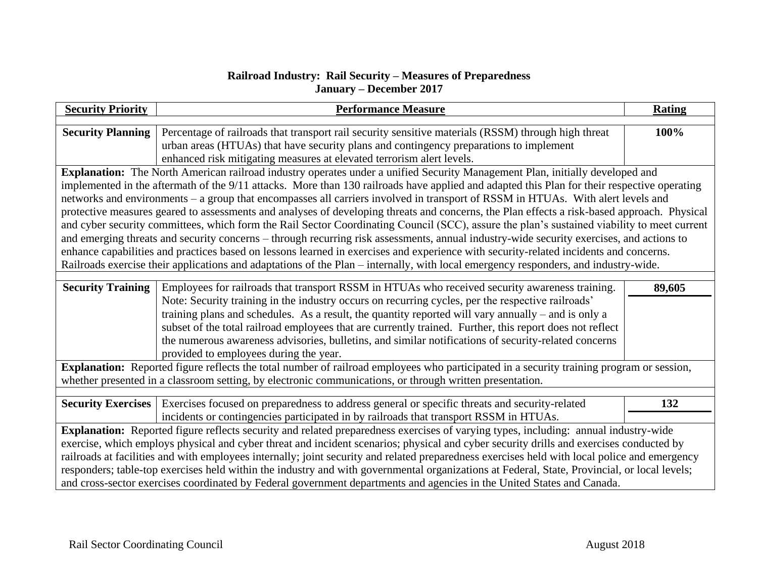## **Railroad Industry: Rail Security – Measures of Preparedness January – December 2017**

| <b>Security Priority</b>                                                                                                                      | <b>Performance Measure</b>                                                                                                                                                                               | <b>Rating</b> |  |
|-----------------------------------------------------------------------------------------------------------------------------------------------|----------------------------------------------------------------------------------------------------------------------------------------------------------------------------------------------------------|---------------|--|
| <b>Security Planning</b>                                                                                                                      | Percentage of railroads that transport rail security sensitive materials (RSSM) through high threat                                                                                                      | 100%          |  |
|                                                                                                                                               | urban areas (HTUAs) that have security plans and contingency preparations to implement                                                                                                                   |               |  |
|                                                                                                                                               | enhanced risk mitigating measures at elevated terrorism alert levels.                                                                                                                                    |               |  |
| Explanation: The North American railroad industry operates under a unified Security Management Plan, initially developed and                  |                                                                                                                                                                                                          |               |  |
| implemented in the aftermath of the 9/11 attacks. More than 130 railroads have applied and adapted this Plan for their respective operating   |                                                                                                                                                                                                          |               |  |
| networks and environments - a group that encompasses all carriers involved in transport of RSSM in HTUAs. With alert levels and               |                                                                                                                                                                                                          |               |  |
| protective measures geared to assessments and analyses of developing threats and concerns, the Plan effects a risk-based approach. Physical   |                                                                                                                                                                                                          |               |  |
| and cyber security committees, which form the Rail Sector Coordinating Council (SCC), assure the plan's sustained viability to meet current   |                                                                                                                                                                                                          |               |  |
| and emerging threats and security concerns - through recurring risk assessments, annual industry-wide security exercises, and actions to      |                                                                                                                                                                                                          |               |  |
| enhance capabilities and practices based on lessons learned in exercises and experience with security-related incidents and concerns.         |                                                                                                                                                                                                          |               |  |
| Railroads exercise their applications and adaptations of the Plan - internally, with local emergency responders, and industry-wide.           |                                                                                                                                                                                                          |               |  |
|                                                                                                                                               |                                                                                                                                                                                                          |               |  |
| <b>Security Training</b>                                                                                                                      | Employees for railroads that transport RSSM in HTUAs who received security awareness training.                                                                                                           | 89,605        |  |
|                                                                                                                                               | Note: Security training in the industry occurs on recurring cycles, per the respective railroads'<br>training plans and schedules. As a result, the quantity reported will vary annually – and is only a |               |  |
|                                                                                                                                               | subset of the total railroad employees that are currently trained. Further, this report does not reflect                                                                                                 |               |  |
|                                                                                                                                               | the numerous awareness advisories, bulletins, and similar notifications of security-related concerns                                                                                                     |               |  |
|                                                                                                                                               | provided to employees during the year.                                                                                                                                                                   |               |  |
| Explanation: Reported figure reflects the total number of railroad employees who participated in a security training program or session,      |                                                                                                                                                                                                          |               |  |
| whether presented in a classroom setting, by electronic communications, or through written presentation.                                      |                                                                                                                                                                                                          |               |  |
|                                                                                                                                               |                                                                                                                                                                                                          |               |  |
| <b>Security Exercises</b>                                                                                                                     | Exercises focused on preparedness to address general or specific threats and security-related                                                                                                            | 132           |  |
|                                                                                                                                               | incidents or contingencies participated in by railroads that transport RSSM in HTUAs.                                                                                                                    |               |  |
| Explanation: Reported figure reflects security and related preparedness exercises of varying types, including: annual industry-wide           |                                                                                                                                                                                                          |               |  |
| exercise, which employs physical and cyber threat and incident scenarios; physical and cyber security drills and exercises conducted by       |                                                                                                                                                                                                          |               |  |
| railroads at facilities and with employees internally; joint security and related preparedness exercises held with local police and emergency |                                                                                                                                                                                                          |               |  |
| responders; table-top exercises held within the industry and with governmental organizations at Federal, State, Provincial, or local levels;  |                                                                                                                                                                                                          |               |  |
| and cross-sector exercises coordinated by Federal government departments and agencies in the United States and Canada.                        |                                                                                                                                                                                                          |               |  |